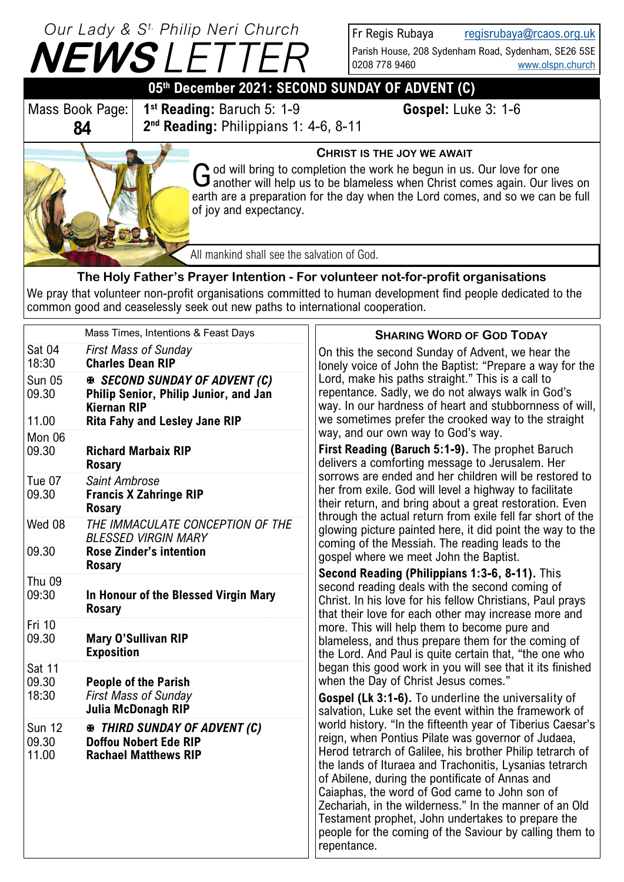# **NEWS** *L Our Lady & S t. Philip Neri Church*

Fr Regis Rubaya [regisrubaya@rcaos.org.uk](mailto:regisrubaya@rcaos.org.uk)

Parish House, 208 Sydenham Road, Sydenham, SE26 5SE 0208 778 9460 [www.olspn.church](http://www.olspn.church)

# **05th December 2021: SECOND SUNDAY OF ADVENT (C)**

Mass Book Page: **84**

**1 st Reading:** Baruch 5: 1-9 **Gospel:** Luke 3: 1-6 **2 nd Reading:** Philippians 1: 4-6, 8-11



#### **CHRIST IS THE JOY WE AWAIT**

God will bring to completion the work he begun in us. Our love for one another will help us to be blameless when Christ comes again. Our liv another will help us to be blameless when Christ comes again. Our lives on earth are a preparation for the day when the Lord comes, and so we can be full of joy and expectancy.

All mankind shall see the salvation of God.

## **The Holy Father's Prayer Intention - For volunteer not-for-profit organisations**

We pray that volunteer non-profit organisations committed to human development find people dedicated to the common good and ceaselessly seek out new paths to international cooperation.

|                                 | Mass Times, Intentions & Feast Days                                                                               | <b>SHARING WORD OF GOD TODAY</b>                                                                                                                                                                                                                                                                                                                                                                                                                                                                                                                                                                                                                                                                                                                                                                                                                                                                    |
|---------------------------------|-------------------------------------------------------------------------------------------------------------------|-----------------------------------------------------------------------------------------------------------------------------------------------------------------------------------------------------------------------------------------------------------------------------------------------------------------------------------------------------------------------------------------------------------------------------------------------------------------------------------------------------------------------------------------------------------------------------------------------------------------------------------------------------------------------------------------------------------------------------------------------------------------------------------------------------------------------------------------------------------------------------------------------------|
| Sat 04<br>18:30                 | <b>First Mass of Sunday</b><br><b>Charles Dean RIP</b>                                                            | On this the second Sunday of Advent, we hear the<br>lonely voice of John the Baptist: "Prepare a way for the<br>Lord, make his paths straight." This is a call to<br>repentance. Sadly, we do not always walk in God's<br>way. In our hardness of heart and stubbornness of will,                                                                                                                                                                                                                                                                                                                                                                                                                                                                                                                                                                                                                   |
| <b>Sun 05</b><br>09.30          | <b>※ SECOND SUNDAY OF ADVENT (C)</b><br>Philip Senior, Philip Junior, and Jan<br><b>Kiernan RIP</b>               |                                                                                                                                                                                                                                                                                                                                                                                                                                                                                                                                                                                                                                                                                                                                                                                                                                                                                                     |
| 11.00                           | <b>Rita Fahy and Lesley Jane RIP</b>                                                                              | we sometimes prefer the crooked way to the straight<br>way, and our own way to God's way.                                                                                                                                                                                                                                                                                                                                                                                                                                                                                                                                                                                                                                                                                                                                                                                                           |
| Mon 06<br>09.30                 | <b>Richard Marbaix RIP</b><br><b>Rosary</b>                                                                       | First Reading (Baruch 5:1-9). The prophet Baruch<br>delivers a comforting message to Jerusalem. Her<br>sorrows are ended and her children will be restored to<br>her from exile. God will level a highway to facilitate<br>their return, and bring about a great restoration. Even<br>through the actual return from exile fell far short of the<br>glowing picture painted here, it did point the way to the<br>coming of the Messiah. The reading leads to the<br>gospel where we meet John the Baptist.<br>Second Reading (Philippians 1:3-6, 8-11). This<br>second reading deals with the second coming of<br>Christ. In his love for his fellow Christians, Paul prays<br>that their love for each other may increase more and<br>more. This will help them to become pure and<br>blameless, and thus prepare them for the coming of<br>the Lord. And Paul is quite certain that, "the one who |
| Tue 07<br>09.30                 | Saint Ambrose<br><b>Francis X Zahringe RIP</b><br><b>Rosary</b>                                                   |                                                                                                                                                                                                                                                                                                                                                                                                                                                                                                                                                                                                                                                                                                                                                                                                                                                                                                     |
| Wed 08<br>09.30                 | THE IMMACULATE CONCEPTION OF THE<br><b>BLESSED VIRGIN MARY</b><br><b>Rose Zinder's intention</b><br><b>Rosary</b> |                                                                                                                                                                                                                                                                                                                                                                                                                                                                                                                                                                                                                                                                                                                                                                                                                                                                                                     |
| Thu 09<br>09:30                 | In Honour of the Blessed Virgin Mary<br><b>Rosary</b>                                                             |                                                                                                                                                                                                                                                                                                                                                                                                                                                                                                                                                                                                                                                                                                                                                                                                                                                                                                     |
| Fri 10<br>09.30                 | <b>Mary O'Sullivan RIP</b><br><b>Exposition</b>                                                                   |                                                                                                                                                                                                                                                                                                                                                                                                                                                                                                                                                                                                                                                                                                                                                                                                                                                                                                     |
| Sat 11<br>09.30                 | <b>People of the Parish</b>                                                                                       | began this good work in you will see that it its finished<br>when the Day of Christ Jesus comes."                                                                                                                                                                                                                                                                                                                                                                                                                                                                                                                                                                                                                                                                                                                                                                                                   |
| 18:30                           | <b>First Mass of Sunday</b><br>Julia McDonagh RIP                                                                 | <b>Gospel (Lk 3:1-6).</b> To underline the universality of<br>salvation, Luke set the event within the framework of                                                                                                                                                                                                                                                                                                                                                                                                                                                                                                                                                                                                                                                                                                                                                                                 |
| <b>Sun 12</b><br>09.30<br>11.00 | <b>EX THIRD SUNDAY OF ADVENT (C)</b><br><b>Doffou Nobert Ede RIP</b><br><b>Rachael Matthews RIP</b>               | world history. "In the fifteenth year of Tiberius Caesar's<br>reign, when Pontius Pilate was governor of Judaea,<br>Herod tetrarch of Galilee, his brother Philip tetrarch of<br>the lands of Ituraea and Trachonitis, Lysanias tetrarch<br>of Abilene, during the pontificate of Annas and<br>Caiaphas, the word of God came to John son of<br>Zechariah, in the wilderness." In the manner of an Old<br>Testament prophet, John undertakes to prepare the<br>people for the coming of the Saviour by calling them to<br>repentance.                                                                                                                                                                                                                                                                                                                                                               |